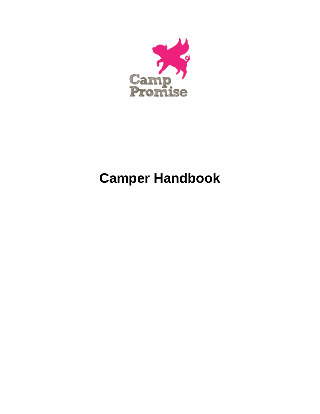

# **Camper Handbook**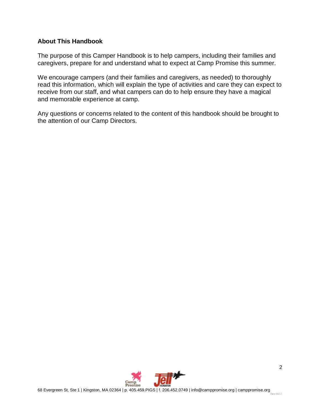#### **About This Handbook**

The purpose of this Camper Handbook is to help campers, including their families and caregivers, prepare for and understand what to expect at Camp Promise this summer.

We encourage campers (and their families and caregivers, as needed) to thoroughly read this information, which will explain the type of activities and care they can expect to receive from our staff, and what campers can do to help ensure they have a magical and memorable experience at camp.

Any questions or concerns related to the content of this handbook should be brought to the attention of our Camp Directors.

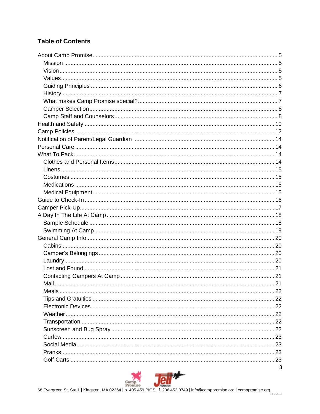# **Table of Contents**

| 3 |
|---|

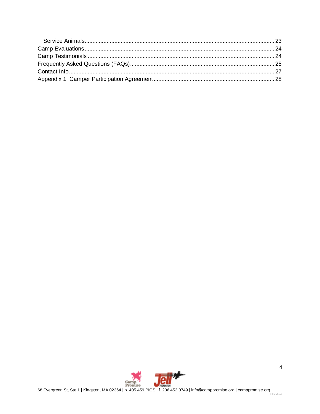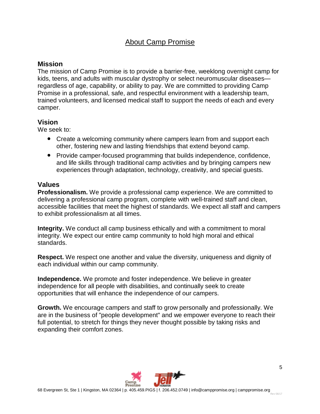# About Camp Promise

#### **Mission**

The mission of Camp Promise is to provide a barrier-free, weeklong overnight camp for kids, teens, and adults with muscular dystrophy or select neuromuscular diseases regardless of age, capability, or ability to pay. We are committed to providing Camp Promise in a professional, safe, and respectful environment with a leadership team, trained volunteers, and licensed medical staff to support the needs of each and every camper.

#### **Vision**

We seek to:

- Create a welcoming community where campers learn from and support each other, fostering new and lasting friendships that extend beyond camp.
- Provide camper-focused programming that builds independence, confidence, and life skills through traditional camp activities and by bringing campers new experiences through adaptation, technology, creativity, and special guests.

#### **Values**

**Professionalism.** We provide a professional camp experience. We are committed to delivering a professional camp program, complete with well-trained staff and clean, accessible facilities that meet the highest of standards. We expect all staff and campers to exhibit professionalism at all times.

**Integrity.** We conduct all camp business ethically and with a commitment to moral integrity. We expect our entire camp community to hold high moral and ethical standards.

**Respect.** We respect one another and value the diversity, uniqueness and dignity of each individual within our camp community.

**Independence.** We promote and foster independence. We believe in greater independence for all people with disabilities, and continually seek to create opportunities that will enhance the independence of our campers.

**Growth.** We encourage campers and staff to grow personally and professionally. We are in the business of "people development" and we empower everyone to reach their full potential, to stretch for things they never thought possible by taking risks and expanding their comfort zones.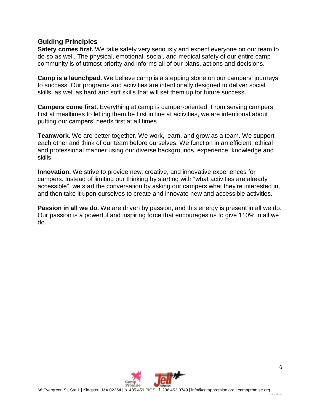#### **Guiding Principles**

**Safety comes first.** We take safety very seriously and expect everyone on our team to do so as well. The physical, emotional, social, and medical safety of our entire camp community is of utmost priority and informs all of our plans, actions and decisions.

**Camp is a launchpad.** We believe camp is a stepping stone on our campers' journeys to success. Our programs and activities are intentionally designed to deliver social skills, as well as hard and soft skills that will set them up for future success.

**Campers come first.** Everything at camp is camper-oriented. From serving campers first at mealtimes to letting them be first in line at activities, we are intentional about putting our campers' needs first at all times.

**Teamwork.** We are better together. We work, learn, and grow as a team. We support each other and think of our team before ourselves. We function in an efficient, ethical and professional manner using our diverse backgrounds, experience, knowledge and skills.

**Innovation.** We strive to provide new, creative, and innovative experiences for campers. Instead of limiting our thinking by starting with "what activities are already accessible", we start the conversation by asking our campers what they're interested in, and then take it upon ourselves to create and innovate new and accessible activities.

**Passion in all we do.** We are driven by passion, and this energy is present in all we do. Our passion is a powerful and inspiring force that encourages us to give 110% in all we do.

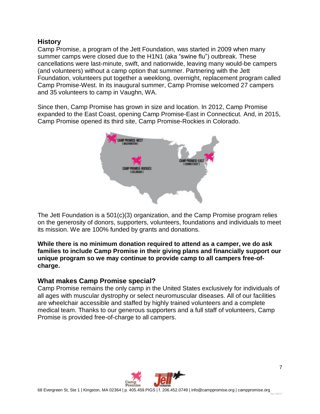#### **History**

Camp Promise, a program of the Jett Foundation, was started in 2009 when many summer camps were closed due to the H1N1 (aka "swine flu") outbreak. These cancellations were last-minute, swift, and nationwide, leaving many would-be campers (and volunteers) without a camp option that summer. Partnering with the Jett Foundation, volunteers put together a weeklong, overnight, replacement program called Camp Promise-West. In its inaugural summer, Camp Promise welcomed 27 campers and 35 volunteers to camp in Vaughn, WA.

Since then, Camp Promise has grown in size and location. In 2012, Camp Promise expanded to the East Coast, opening Camp Promise-East in Connecticut. And, in 2015, Camp Promise opened its third site, Camp Promise-Rockies in Colorado.



The Jett Foundation is a 501(c)(3) organization, and the Camp Promise program relies on the generosity of donors, supporters, volunteers, foundations and individuals to meet its mission. We are 100% funded by grants and donations.

#### **While there is no minimum donation required to attend as a camper, we do ask families to include Camp Promise in their giving plans and financially support our unique program so we may continue to provide camp to all campers free-ofcharge.**

#### **What makes Camp Promise special?**

Camp Promise remains the only camp in the United States exclusively for individuals of all ages with muscular dystrophy or select neuromuscular diseases. All of our facilities are wheelchair accessible and staffed by highly trained volunteers and a complete medical team. Thanks to our generous supporters and a full staff of volunteers, Camp Promise is provided free-of-charge to all campers.

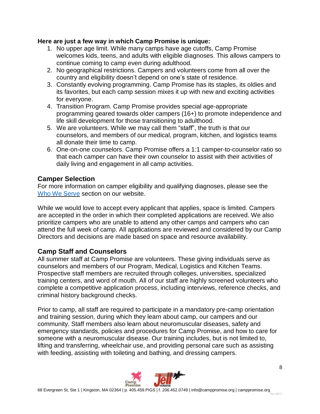#### **Here are just a few way in which Camp Promise is unique:**

- 1. No upper age limit. While many camps have age cutoffs, Camp Promise welcomes kids, teens, and adults with eligible diagnoses. This allows campers to continue coming to camp even during adulthood.
- 2. No geographical restrictions. Campers and volunteers come from all over the country and eligibility doesn't depend on one's state of residence.
- 3. Constantly evolving programming. Camp Promise has its staples, its oldies and its favorites, but each camp session mixes it up with new and exciting activities for everyone.
- 4. Transition Program. Camp Promise provides special age-appropriate programming geared towards older campers (16+) to promote independence and life skill development for those transitioning to adulthood.
- 5. We are volunteers. While we may call them "staff", the truth is that our counselors, and members of our medical, program, kitchen, and logistics teams all donate their time to camp.
- 6. One-on-one counselors. Camp Promise offers a 1:1 camper-to-counselor ratio so that each camper can have their own counselor to assist with their activities of daily living and engagement in all camp activities.

# **Camper Selection**

For more information on camper eligibility and qualifying diagnoses, please see the Who We [Serve](https://www.camppromise.org/who-we-serve/) section on our website.

While we would love to accept every applicant that applies, space is limited. Campers are accepted in the order in which their completed applications are received. We also prioritize campers who are unable to attend any other camps and campers who can attend the full week of camp. All applications are reviewed and considered by our Camp Directors and decisions are made based on space and resource availability.

## **Camp Staff and Counselors**

All summer staff at Camp Promise are volunteers. These giving individuals serve as counselors and members of our Program, Medical, Logistics and Kitchen Teams. Prospective staff members are recruited through colleges, universities, specialized training centers, and word of mouth. All of our staff are highly screened volunteers who complete a competitive application process, including interviews, reference checks, and criminal history background checks.

Prior to camp, all staff are required to participate in a mandatory pre-camp orientation and training session, during which they learn about camp, our campers and our community. Staff members also learn about neuromuscular diseases, safety and emergency standards, policies and procedures for Camp Promise, and how to care for someone with a neuromuscular disease. Our training includes, but is not limited to, lifting and transferring, wheelchair use, and providing personal care such as assisting with feeding, assisting with toileting and bathing, and dressing campers.

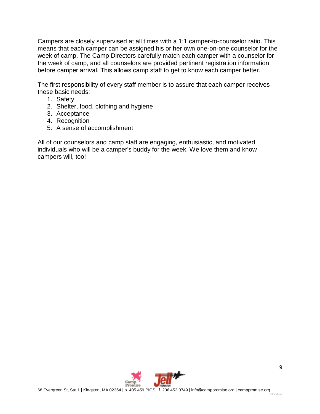Campers are closely supervised at all times with a 1:1 camper-to-counselor ratio. This means that each camper can be assigned his or her own one-on-one counselor for the week of camp. The Camp Directors carefully match each camper with a counselor for the week of camp, and all counselors are provided pertinent registration information before camper arrival. This allows camp staff to get to know each camper better.

The first responsibility of every staff member is to assure that each camper receives these basic needs:

- 1. Safety
- 2. Shelter, food, clothing and hygiene
- 3. Acceptance
- 4. Recognition
- 5. A sense of accomplishment

All of our counselors and camp staff are engaging, enthusiastic, and motivated individuals who will be a camper's buddy for the week. We love them and know campers will, too!

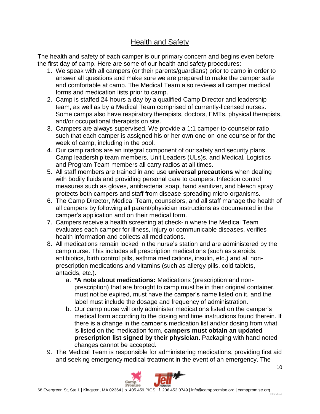# Health and Safety

The health and safety of each camper is our primary concern and begins even before the first day of camp. Here are some of our health and safety procedures:

- 1. We speak with all campers (or their parents/guardians) prior to camp in order to answer all questions and make sure we are prepared to make the camper safe and comfortable at camp. The Medical Team also reviews all camper medical forms and medication lists prior to camp.
- 2. Camp is staffed 24-hours a day by a qualified Camp Director and leadership team, as well as by a Medical Team comprised of currently-licensed nurses. Some camps also have respiratory therapists, doctors, EMTs, physical therapists, and/or occupational therapists on site.
- 3. Campers are always supervised. We provide a 1:1 camper-to-counselor ratio such that each camper is assigned his or her own one-on-one counselor for the week of camp, including in the pool.
- 4. Our camp radios are an integral component of our safety and security plans. Camp leadership team members, Unit Leaders (ULs)s, and Medical, Logistics and Program Team members all carry radios at all times.
- 5. All staff members are trained in and use **universal precautions** when dealing with bodily fluids and providing personal care to campers. Infection control measures such as gloves, antibacterial soap, hand sanitizer, and bleach spray protects both campers and staff from disease-spreading micro-organisms.
- 6. The Camp Director, Medical Team, counselors, and all staff manage the health of all campers by following all parent/physician instructions as documented in the camper's application and on their medical form.
- 7. Campers receive a health screening at check-in where the Medical Team evaluates each camper for illness, injury or communicable diseases, verifies health information and collects all medications.
- 8. All medications remain locked in the nurse's station and are administered by the camp nurse. This includes all prescription medications (such as steroids, antibiotics, birth control pills, asthma medications, insulin, etc.) and all nonprescription medications and vitamins (such as allergy pills, cold tablets, antacids, etc.).
	- a. **\*A note about medications:** Medications (prescription and nonprescription) that are brought to camp must be in their original container, must not be expired, must have the camper's name listed on it, and the label must include the dosage and frequency of administration.
	- b. Our camp nurse will only administer medications listed on the camper's medical form according to the dosing and time instructions found therein. If there is a change in the camper's medication list and/or dosing from what is listed on the medication form, **campers must obtain an updated prescription list signed by their physician.** Packaging with hand noted changes cannot be accepted.
- 9. The Medical Team is responsible for administering medications, providing first aid and seeking emergency medical treatment in the event of an emergency. The

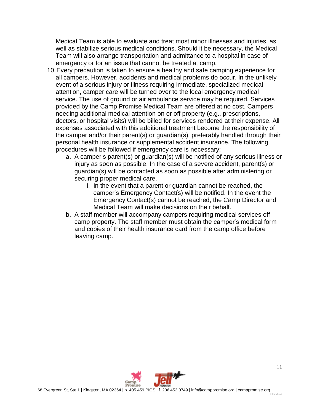Medical Team is able to evaluate and treat most minor illnesses and injuries, as well as stabilize serious medical conditions. Should it be necessary, the Medical Team will also arrange transportation and admittance to a hospital in case of emergency or for an issue that cannot be treated at camp.

- 10.Every precaution is taken to ensure a healthy and safe camping experience for all campers. However, accidents and medical problems do occur. In the unlikely event of a serious injury or illness requiring immediate, specialized medical attention, camper care will be turned over to the local emergency medical service. The use of ground or air ambulance service may be required. Services provided by the Camp Promise Medical Team are offered at no cost. Campers needing additional medical attention on or off property (e.g., prescriptions, doctors, or hospital visits) will be billed for services rendered at their expense. All expenses associated with this additional treatment become the responsibility of the camper and/or their parent(s) or guardian(s), preferably handled through their personal health insurance or supplemental accident insurance. The following procedures will be followed if emergency care is necessary:
	- a. A camper's parent(s) or guardian(s) will be notified of any serious illness or injury as soon as possible. In the case of a severe accident, parent(s) or guardian(s) will be contacted as soon as possible after administering or securing proper medical care.
		- i. In the event that a parent or guardian cannot be reached, the camper's Emergency Contact(s) will be notified. In the event the Emergency Contact(s) cannot be reached, the Camp Director and Medical Team will make decisions on their behalf.
	- b. A staff member will accompany campers requiring medical services off camp property. The staff member must obtain the camper's medical form and copies of their health insurance card from the camp office before leaving camp.

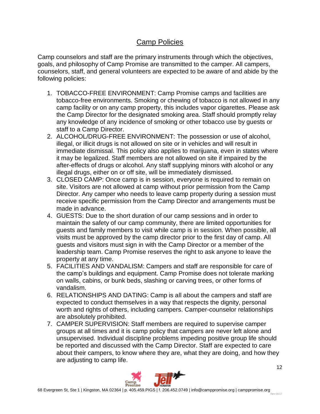# Camp Policies

Camp counselors and staff are the primary instruments through which the objectives, goals, and philosophy of Camp Promise are transmitted to the camper. All campers, counselors, staff, and general volunteers are expected to be aware of and abide by the following policies:

- 1. TOBACCO-FREE ENVIRONMENT: Camp Promise camps and facilities are tobacco-free environments. Smoking or chewing of tobacco is not allowed in any camp facility or on any camp property, this includes vapor cigarettes. Please ask the Camp Director for the designated smoking area. Staff should promptly relay any knowledge of any incidence of smoking or other tobacco use by guests or staff to a Camp Director.
- 2. ALCOHOL/DRUG-FREE ENVIRONMENT: The possession or use of alcohol, illegal, or illicit drugs is not allowed on site or in vehicles and will result in immediate dismissal. This policy also applies to marijuana, even in states where it may be legalized. Staff members are not allowed on site if impaired by the after-effects of drugs or alcohol. Any staff supplying minors with alcohol or any illegal drugs, either on or off site, will be immediately dismissed.
- 3. CLOSED CAMP: Once camp is in session, everyone is required to remain on site. Visitors are not allowed at camp without prior permission from the Camp Director. Any camper who needs to leave camp property during a session must receive specific permission from the Camp Director and arrangements must be made in advance.
- 4. GUESTS: Due to the short duration of our camp sessions and in order to maintain the safety of our camp community, there are limited opportunities for guests and family members to visit while camp is in session. When possible, all visits must be approved by the camp director prior to the first day of camp. All guests and visitors must sign in with the Camp Director or a member of the leadership team. Camp Promise reserves the right to ask anyone to leave the property at any time.
- 5. FACILITIES AND VANDALISM: Campers and staff are responsible for care of the camp's buildings and equipment. Camp Promise does not tolerate marking on walls, cabins, or bunk beds, slashing or carving trees, or other forms of vandalism.
- 6. RELATIONSHIPS AND DATING: Camp is all about the campers and staff are expected to conduct themselves in a way that respects the dignity, personal worth and rights of others, including campers. Camper-counselor relationships are absolutely prohibited.
- 7. CAMPER SUPERVISION: Staff members are required to supervise camper groups at all times and it is camp policy that campers are never left alone and unsupervised. Individual discipline problems impeding positive group life should be reported and discussed with the Camp Director. Staff are expected to care about their campers, to know where they are, what they are doing, and how they are adjusting to camp life.

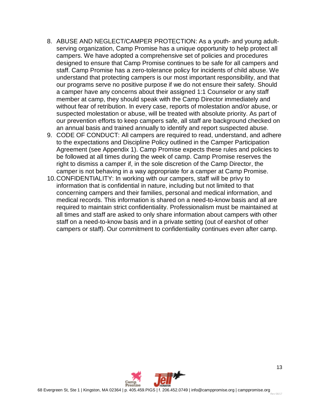- 8. ABUSE AND NEGLECT/CAMPER PROTECTION: As a youth- and young adultserving organization, Camp Promise has a unique opportunity to help protect all campers. We have adopted a comprehensive set of policies and procedures designed to ensure that Camp Promise continues to be safe for all campers and staff. Camp Promise has a zero-tolerance policy for incidents of child abuse. We understand that protecting campers is our most important responsibility, and that our programs serve no positive purpose if we do not ensure their safety. Should a camper have any concerns about their assigned 1:1 Counselor or any staff member at camp, they should speak with the Camp Director immediately and without fear of retribution. In every case, reports of molestation and/or abuse, or suspected molestation or abuse, will be treated with absolute priority. As part of our prevention efforts to keep campers safe, all staff are background checked on an annual basis and trained annually to identify and report suspected abuse.
- 9. CODE OF CONDUCT: All campers are required to read, understand, and adhere to the expectations and Discipline Policy outlined in the Camper Participation Agreement (see Appendix 1). Camp Promise expects these rules and policies to be followed at all times during the week of camp. Camp Promise reserves the right to dismiss a camper if, in the sole discretion of the Camp Director, the camper is not behaving in a way appropriate for a camper at Camp Promise.
- 10.CONFIDENTIALITY: In working with our campers, staff will be privy to information that is confidential in nature, including but not limited to that concerning campers and their families, personal and medical information, and medical records. This information is shared on a need-to-know basis and all are required to maintain strict confidentiality. Professionalism must be maintained at all times and staff are asked to only share information about campers with other staff on a need-to-know basis and in a private setting (out of earshot of other campers or staff). Our commitment to confidentiality continues even after camp.

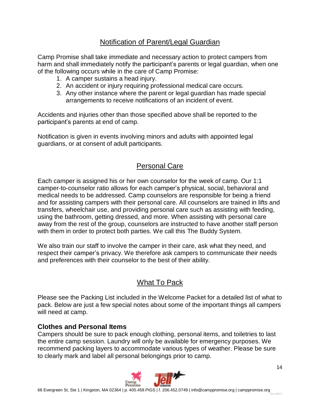# Notification of Parent/Legal Guardian

Camp Promise shall take immediate and necessary action to protect campers from harm and shall immediately notify the participant's parents or legal guardian, when one of the following occurs while in the care of Camp Promise:

- 1. A camper sustains a head injury.
- 2. An accident or injury requiring professional medical care occurs.
- 3. Any other instance where the parent or legal guardian has made special arrangements to receive notifications of an incident of event.

Accidents and injuries other than those specified above shall be reported to the participant's parents at end of camp.

Notification is given in events involving minors and adults with appointed legal guardians, or at consent of adult participants.

# Personal Care

Each camper is assigned his or her own counselor for the week of camp. Our 1:1 camper-to-counselor ratio allows for each camper's physical, social, behavioral and medical needs to be addressed. Camp counselors are responsible for being a friend and for assisting campers with their personal care. All counselors are trained in lifts and transfers, wheelchair use, and providing personal care such as assisting with feeding, using the bathroom, getting dressed, and more. When assisting with personal care away from the rest of the group, counselors are instructed to have another staff person with them in order to protect both parties. We call this The Buddy System.

We also train our staff to involve the camper in their care, ask what they need, and respect their camper's privacy. We therefore ask campers to communicate their needs and preferences with their counselor to the best of their ability.

# What To Pack

Please see the Packing List included in the Welcome Packet for a detailed list of what to pack. Below are just a few special notes about some of the important things all campers will need at camp.

#### **Clothes and Personal Items**

Campers should be sure to pack enough clothing, personal items, and toiletries to last the entire camp session. Laundry will only be available for emergency purposes. We recommend packing layers to accommodate various types of weather. Please be sure to clearly mark and label all personal belongings prior to camp.

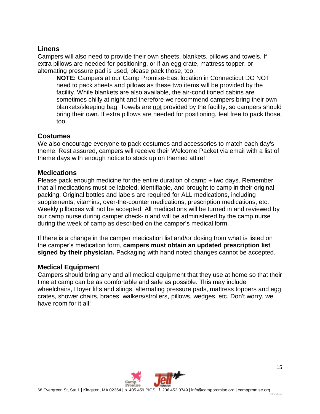#### **Linens**

Campers will also need to provide their own sheets, blankets, pillows and towels. If extra pillows are needed for positioning, or if an egg crate, mattress topper, or alternating pressure pad is used, please pack those, too.

**NOTE:** Campers at our Camp Promise-East location in Connecticut DO NOT need to pack sheets and pillows as these two items will be provided by the facility. While blankets are also available, the air-conditioned cabins are sometimes chilly at night and therefore we recommend campers bring their own blankets/sleeping bag. Towels are not provided by the facility, so campers should bring their own. If extra pillows are needed for positioning, feel free to pack those, too.

## **Costumes**

We also encourage everyone to pack costumes and accessories to match each day's theme. Rest assured, campers will receive their Welcome Packet via email with a list of theme days with enough notice to stock up on themed attire!

#### **Medications**

Please pack enough medicine for the entire duration of camp + two days. Remember that all medications must be labeled, identifiable, and brought to camp in their original packing. Original bottles and labels are required for ALL medications, including supplements, vitamins, over-the-counter medications, prescription medications, etc. Weekly pillboxes will not be accepted. All medications will be turned in and reviewed by our camp nurse during camper check-in and will be administered by the camp nurse during the week of camp as described on the camper's medical form.

If there is a change in the camper medication list and/or dosing from what is listed on the camper's medication form, **campers must obtain an updated prescription list signed by their physician.** Packaging with hand noted changes cannot be accepted.

#### **Medical Equipment**

Campers should bring any and all medical equipment that they use at home so that their time at camp can be as comfortable and safe as possible. This may include wheelchairs, Hoyer lifts and slings, alternating pressure pads, mattress toppers and egg crates, shower chairs, braces, walkers/strollers, pillows, wedges, etc. Don't worry, we have room for it all!

Rev 06/17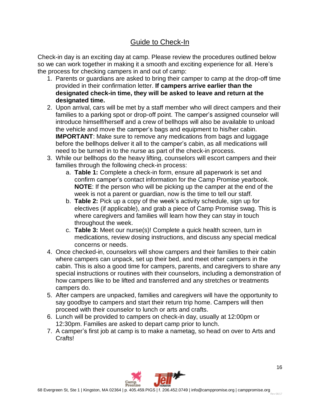# Guide to Check-In

Check-in day is an exciting day at camp. Please review the procedures outlined below so we can work together in making it a smooth and exciting experience for all. Here's the process for checking campers in and out of camp:

- 1. Parents or guardians are asked to bring their camper to camp at the drop-off time provided in their confirmation letter. **If campers arrive earlier than the designated check-in time, they will be asked to leave and return at the designated time.**
- 2. Upon arrival, cars will be met by a staff member who will direct campers and their families to a parking spot or drop-off point. The camper's assigned counselor will introduce himself/herself and a crew of bellhops will also be available to unload the vehicle and move the camper's bags and equipment to his/her cabin. **IMPORTANT**: Make sure to remove any medications from bags and luggage before the bellhops deliver it all to the camper's cabin, as all medications will need to be turned in to the nurse as part of the check-in process.
- 3. While our bellhops do the heavy lifting, counselors will escort campers and their families through the following check-in process:
	- a. **Table 1:** Complete a check-in form, ensure all paperwork is set and confirm camper's contact information for the Camp Promise yearbook. **NOTE**: If the person who will be picking up the camper at the end of the week is not a parent or guardian, now is the time to tell our staff.
	- b. **Table 2:** Pick up a copy of the week's activity schedule, sign up for electives (if applicable), and grab a piece of Camp Promise swag. This is where caregivers and families will learn how they can stay in touch throughout the week.
	- c. **Table 3:** Meet our nurse(s)! Complete a quick health screen, turn in medications, review dosing instructions, and discuss any special medical concerns or needs.
- 4. Once checked-in, counselors will show campers and their families to their cabin where campers can unpack, set up their bed, and meet other campers in the cabin. This is also a good time for campers, parents, and caregivers to share any special instructions or routines with their counselors, including a demonstration of how campers like to be lifted and transferred and any stretches or treatments campers do.
- 5. After campers are unpacked, families and caregivers will have the opportunity to say goodbye to campers and start their return trip home. Campers will then proceed with their counselor to lunch or arts and crafts.
- 6. Lunch will be provided to campers on check-in day, usually at 12:00pm or 12:30pm. Families are asked to depart camp prior to lunch.
- 7. A camper's first job at camp is to make a nametag, so head on over to Arts and Crafts!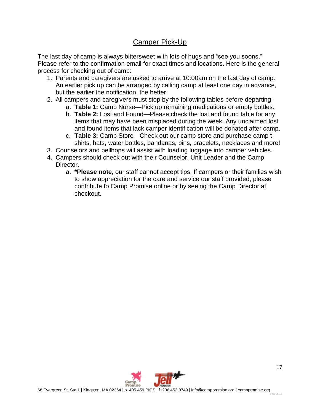# Camper Pick-Up

The last day of camp is always bittersweet with lots of hugs and "see you soons." Please refer to the confirmation email for exact times and locations. Here is the general process for checking out of camp:

- 1. Parents and caregivers are asked to arrive at 10:00am on the last day of camp. An earlier pick up can be arranged by calling camp at least one day in advance, but the earlier the notification, the better.
- 2. All campers and caregivers must stop by the following tables before departing:
	- a. **Table 1:** Camp Nurse—Pick up remaining medications or empty bottles.
	- b. **Table 2:** Lost and Found—Please check the lost and found table for any items that may have been misplaced during the week. Any unclaimed lost and found items that lack camper identification will be donated after camp.
	- c. **Table 3:** Camp Store—Check out our camp store and purchase camp tshirts, hats, water bottles, bandanas, pins, bracelets, necklaces and more!
- 3. Counselors and bellhops will assist with loading luggage into camper vehicles.
- 4. Campers should check out with their Counselor, Unit Leader and the Camp Director.
	- a. **\*Please note,** our staff cannot accept tips. If campers or their families wish to show appreciation for the care and service our staff provided, please contribute to Camp Promise online or by seeing the Camp Director at checkout.

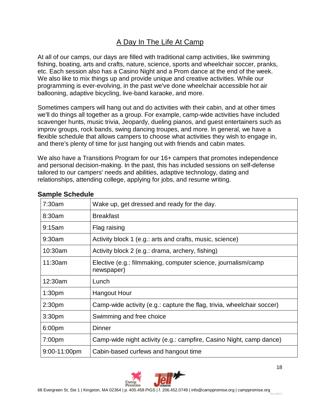# A Day In The Life At Camp

At all of our camps, our days are filled with traditional camp activities, like swimming fishing, boating, arts and crafts, nature, science, sports and wheelchair soccer, pranks, etc. Each session also has a Casino Night and a Prom dance at the end of the week. We also like to mix things up and provide unique and creative activities. While our programming is ever-evolving, in the past we've done wheelchair accessible hot air ballooning, adaptive bicycling, live-band karaoke, and more.

Sometimes campers will hang out and do activities with their cabin, and at other times we'll do things all together as a group. For example, camp-wide activities have included scavenger hunts, music trivia, Jeopardy, dueling pianos, and guest entertainers such as improv groups, rock bands, swing dancing troupes, and more. In general, we have a flexible schedule that allows campers to choose what activities they wish to engage in, and there's plenty of time for just hanging out with friends and cabin mates.

We also have a Transitions Program for our 16+ campers that promotes independence and personal decision-making. In the past, this has included sessions on self-defense tailored to our campers' needs and abilities, adaptive technology, dating and relationships, attending college, applying for jobs, and resume writing.

| 7:30am             | Wake up, get dressed and ready for the day.                                 |
|--------------------|-----------------------------------------------------------------------------|
| 8:30am             | <b>Breakfast</b>                                                            |
| 9:15am             | Flag raising                                                                |
| 9:30am             | Activity block 1 (e.g.: arts and crafts, music, science)                    |
| 10:30am            | Activity block 2 (e.g.: drama, archery, fishing)                            |
| 11:30am            | Elective (e.g.: filmmaking, computer science, journalism/camp<br>newspaper) |
| 12:30am            | Lunch                                                                       |
| 1:30 <sub>pm</sub> | <b>Hangout Hour</b>                                                         |
| 2:30 <sub>pm</sub> | Camp-wide activity (e.g.: capture the flag, trivia, wheelchair soccer)      |
| 3:30pm             | Swimming and free choice                                                    |
| 6:00pm             | <b>Dinner</b>                                                               |
| 7:00pm             | Camp-wide night activity (e.g.: campfire, Casino Night, camp dance)         |
| 9:00-11:00pm       | Cabin-based curfews and hangout time                                        |

#### **Sample Schedule**

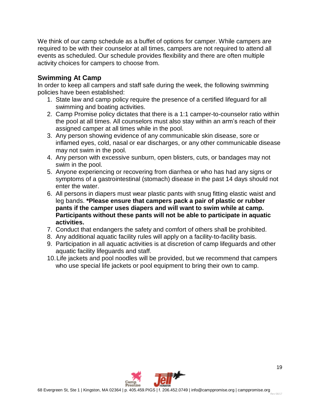We think of our camp schedule as a buffet of options for camper. While campers are required to be with their counselor at all times, campers are not required to attend all events as scheduled. Our schedule provides flexibility and there are often multiple activity choices for campers to choose from.

## **Swimming At Camp**

In order to keep all campers and staff safe during the week, the following swimming policies have been established:

- 1. State law and camp policy require the presence of a certified lifeguard for all swimming and boating activities.
- 2. Camp Promise policy dictates that there is a 1:1 camper-to-counselor ratio within the pool at all times. All counselors must also stay within an arm's reach of their assigned camper at all times while in the pool.
- 3. Any person showing evidence of any communicable skin disease, sore or inflamed eyes, cold, nasal or ear discharges, or any other communicable disease may not swim in the pool.
- 4. Any person with excessive sunburn, open blisters, cuts, or bandages may not swim in the pool.
- 5. Anyone experiencing or recovering from diarrhea or who has had any signs or symptoms of a gastrointestinal (stomach) disease in the past 14 days should not enter the water.
- 6. All persons in diapers must wear plastic pants with snug fitting elastic waist and leg bands. **\*Please ensure that campers pack a pair of plastic or rubber pants if the camper uses diapers and will want to swim while at camp. Participants without these pants will not be able to participate in aquatic activities.**
- 7. Conduct that endangers the safety and comfort of others shall be prohibited.
- 8. Any additional aquatic facility rules will apply on a facility-to-facility basis.
- 9. Participation in all aquatic activities is at discretion of camp lifeguards and other aquatic facility lifeguards and staff.
- 10.Life jackets and pool noodles will be provided, but we recommend that campers who use special life jackets or pool equipment to bring their own to camp.

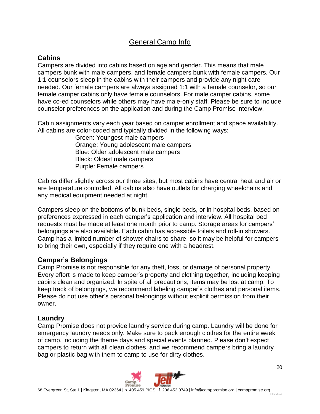# General Camp Info

# **Cabins**

Campers are divided into cabins based on age and gender. This means that male campers bunk with male campers, and female campers bunk with female campers. Our 1:1 counselors sleep in the cabins with their campers and provide any night care needed. Our female campers are always assigned 1:1 with a female counselor, so our female camper cabins only have female counselors. For male camper cabins, some have co-ed counselors while others may have male-only staff. Please be sure to include counselor preferences on the application and during the Camp Promise interview.

Cabin assignments vary each year based on camper enrollment and space availability. All cabins are color-coded and typically divided in the following ways:

> Green: Youngest male campers Orange: Young adolescent male campers Blue: Older adolescent male campers Black: Oldest male campers Purple: Female campers

Cabins differ slightly across our three sites, but most cabins have central heat and air or are temperature controlled. All cabins also have outlets for charging wheelchairs and any medical equipment needed at night.

Campers sleep on the bottoms of bunk beds, single beds, or in hospital beds, based on preferences expressed in each camper's application and interview. All hospital bed requests must be made at least one month prior to camp. Storage areas for campers' belongings are also available. Each cabin has accessible toilets and roll-in showers. Camp has a limited number of shower chairs to share, so it may be helpful for campers to bring their own, especially if they require one with a headrest.

## **Camper's Belongings**

Camp Promise is not responsible for any theft, loss, or damage of personal property. Every effort is made to keep camper's property and clothing together, including keeping cabins clean and organized. In spite of all precautions, items may be lost at camp. To keep track of belongings, we recommend labeling camper's clothes and personal items. Please do not use other's personal belongings without explicit permission from their owner.

#### **Laundry**

Camp Promise does not provide laundry service during camp. Laundry will be done for emergency laundry needs only. Make sure to pack enough clothes for the entire week of camp, including the theme days and special events planned. Please don't expect campers to return with all clean clothes, and we recommend campers bring a laundry bag or plastic bag with them to camp to use for dirty clothes.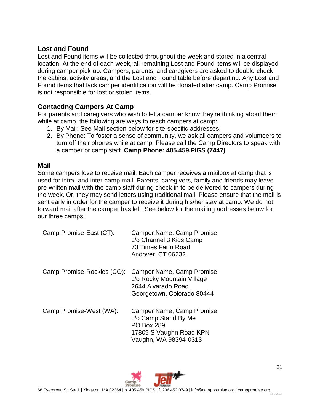#### **Lost and Found**

Lost and Found items will be collected throughout the week and stored in a central location. At the end of each week, all remaining Lost and Found items will be displayed during camper pick-up. Campers, parents, and caregivers are asked to double-check the cabins, activity areas, and the Lost and Found table before departing. Any Lost and Found items that lack camper identification will be donated after camp. Camp Promise is not responsible for lost or stolen items.

## **Contacting Campers At Camp**

For parents and caregivers who wish to let a camper know they're thinking about them while at camp, the following are ways to reach campers at camp:

- 1. By Mail: See Mail section below for site-specific addresses.
- **2.** By Phone: To foster a sense of community, we ask all campers and volunteers to turn off their phones while at camp. Please call the Camp Directors to speak with a camper or camp staff. **Camp Phone: 405.459.PIGS (7447)**

#### **Mail**

Some campers love to receive mail. Each camper receives a mailbox at camp that is used for intra- and inter-camp mail. Parents, caregivers, family and friends may leave pre-written mail with the camp staff during check-in to be delivered to campers during the week. Or, they may send letters using traditional mail. Please ensure that the mail is sent early in order for the camper to receive it during his/her stay at camp. We do not forward mail after the camper has left. See below for the mailing addresses below for our three camps:

| Camp Promise-East (CT):    | Camper Name, Camp Promise<br>c/o Channel 3 Kids Camp<br>73 Times Farm Road<br>Andover, CT 06232                            |
|----------------------------|----------------------------------------------------------------------------------------------------------------------------|
| Camp Promise-Rockies (CO): | Camper Name, Camp Promise<br>c/o Rocky Mountain Village<br>2644 Alvarado Road<br>Georgetown, Colorado 80444                |
| Camp Promise-West (WA):    | Camper Name, Camp Promise<br>c/o Camp Stand By Me<br><b>PO Box 289</b><br>17809 S Vaughn Road KPN<br>Vaughn, WA 98394-0313 |

Rev 06/17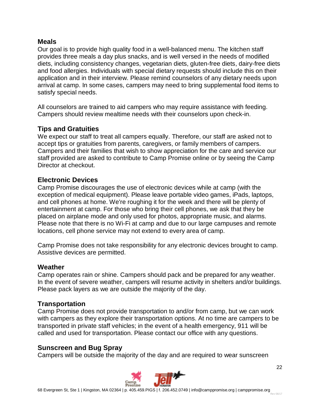#### **Meals**

Our goal is to provide high quality food in a well-balanced menu. The kitchen staff provides three meals a day plus snacks, and is well versed in the needs of modified diets, including consistency changes, vegetarian diets, gluten-free diets, dairy-free diets and food allergies. Individuals with special dietary requests should include this on their application and in their interview. Please remind counselors of any dietary needs upon arrival at camp. In some cases, campers may need to bring supplemental food items to satisfy special needs.

All counselors are trained to aid campers who may require assistance with feeding. Campers should review mealtime needs with their counselors upon check-in.

## **Tips and Gratuities**

We expect our staff to treat all campers equally. Therefore, our staff are asked not to accept tips or gratuities from parents, caregivers, or family members of campers. Campers and their families that wish to show appreciation for the care and service our staff provided are asked to contribute to Camp Promise online or by seeing the Camp Director at checkout.

#### **Electronic Devices**

Camp Promise discourages the use of electronic devices while at camp (with the exception of medical equipment). Please leave portable video games, iPads, laptops, and cell phones at home. We're roughing it for the week and there will be plenty of entertainment at camp. For those who bring their cell phones, we ask that they be placed on airplane mode and only used for photos, appropriate music, and alarms. Please note that there is no Wi-Fi at camp and due to our large campuses and remote locations, cell phone service may not extend to every area of camp.

Camp Promise does not take responsibility for any electronic devices brought to camp. Assistive devices are permitted.

## **Weather**

Camp operates rain or shine. Campers should pack and be prepared for any weather. In the event of severe weather, campers will resume activity in shelters and/or buildings. Please pack layers as we are outside the majority of the day.

## **Transportation**

Camp Promise does not provide transportation to and/or from camp, but we can work with campers as they explore their transportation options. At no time are campers to be transported in private staff vehicles; in the event of a health emergency, 911 will be called and used for transportation. Please contact our office with any questions.

## **Sunscreen and Bug Spray**

Campers will be outside the majority of the day and are required to wear sunscreen

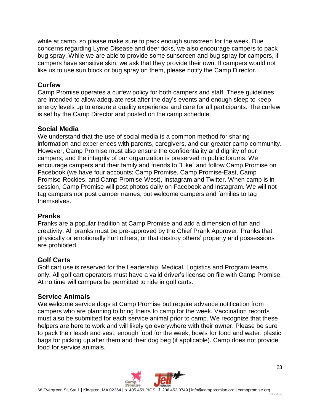while at camp, so please make sure to pack enough sunscreen for the week. Due concerns regarding Lyme Disease and deer ticks, we also encourage campers to pack bug spray. While we are able to provide some sunscreen and bug spray for campers, if campers have sensitive skin, we ask that they provide their own. If campers would not like us to use sun block or bug spray on them, please notify the Camp Director.

## **Curfew**

Camp Promise operates a curfew policy for both campers and staff. These guidelines are intended to allow adequate rest after the day's events and enough sleep to keep energy levels up to ensure a quality experience and care for all participants. The curfew is set by the Camp Director and posted on the camp schedule.

## **Social Media**

We understand that the use of social media is a common method for sharing information and experiences with parents, caregivers, and our greater camp community. However, Camp Promise must also ensure the confidentiality and dignity of our campers, and the integrity of our organization is preserved in public forums. We encourage campers and their family and friends to "Like" and follow Camp Promise on Facebook (we have four accounts: Camp Promise, Camp Promise-East, Camp Promise-Rockies, and Camp Promise-West), Instagram and Twitter. When camp is in session, Camp Promise will post photos daily on Facebook and Instagram. We will not tag campers nor post camper names, but welcome campers and families to tag themselves.

#### **Pranks**

Pranks are a popular tradition at Camp Promise and add a dimension of fun and creativity. All pranks must be pre-approved by the Chief Prank Approver. Pranks that physically or emotionally hurt others, or that destroy others' property and possessions are prohibited.

## **Golf Carts**

Golf cart use is reserved for the Leadership, Medical, Logistics and Program teams only. All golf cart operators must have a valid driver's license on file with Camp Promise. At no time will campers be permitted to ride in golf carts.

## **Service Animals**

We welcome service dogs at Camp Promise but require advance notification from campers who are planning to bring theirs to camp for the week. Vaccination records must also be submitted for each service animal prior to camp. We recognize that these helpers are here to work and will likely go everywhere with their owner. Please be sure to pack their leash and vest, enough food for the week, bowls for food and water, plastic bags for picking up after them and their dog beg (if applicable). Camp does not provide food for service animals.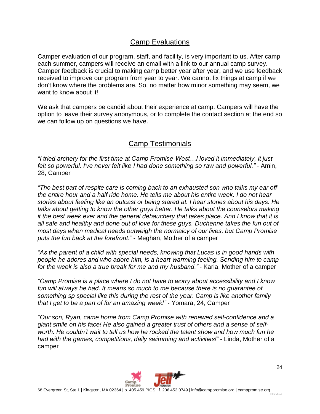# Camp Evaluations

Camper evaluation of our program, staff, and facility, is very important to us. After camp each summer, campers will receive an email with a link to our annual camp survey. Camper feedback is crucial to making camp better year after year, and we use feedback received to improve our program from year to year. We cannot fix things at camp if we don't know where the problems are. So, no matter how minor something may seem, we want to know about it!

We ask that campers be candid about their experience at camp. Campers will have the option to leave their survey anonymous, or to complete the contact section at the end so we can follow up on questions we have.

# Camp Testimonials

*"I tried archery for the first time at Camp Promise-West…I loved it immediately, it just felt so powerful. I've never felt like I had done something so raw and powerful."* - Amin, 28, Camper

*"The best part of respite care is coming back to an exhausted son who talks my ear off the entire hour and a half ride home. He tells me about his entire week. I do not hear stories about feeling like an outcast or being stared at. I hear stories about his days. He talks about getting to know the other guys better. He talks about the counselors making it the best week ever and the general debauchery that takes place. And I know that it is all safe and healthy and done out of love for these guys. Duchenne takes the fun out of most days when medical needs outweigh the normalcy of our lives, but Camp Promise puts the fun back at the forefront."* - Meghan, Mother of a camper

*"As the parent of a child with special needs, knowing that Lucas is in good hands with people he adores and who adore him, is a heart-warming feeling. Sending him to camp for the week is also a true break for me and my husband."* - Karla, Mother of a camper

*"Camp Promise is a place where I do not have to worry about accessibility and I know fun will always be had. It means so much to me because there is no guarantee of something sp special like this during the rest of the year. Camp is like another family that I get to be a part of for an amazing week!"* - Yomara, 24, Camper

*"Our son, Ryan, came home from Camp Promise with renewed self-confidence and a giant smile on his face! He also gained a greater trust of others and a sense of selfworth. He couldn't wait to tell us how he rocked the talent show and how much fun he had with the games, competitions, daily swimming and activities!"* - Linda, Mother of a camper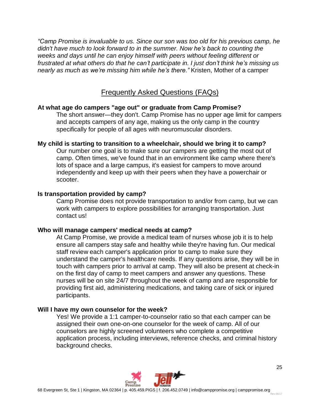*"Camp Promise is invaluable to us. Since our son was too old for his previous camp, he didn't have much to look forward to in the summer. Now he's back to counting the weeks and days until he can enjoy himself with peers without feeling different or frustrated at what others do that he can't participate in. I just don't think he's missing us nearly as much as we're missing him while he's there."* Kristen, Mother of a camper

# Frequently Asked Questions (FAQs)

#### **At what age do campers "age out" or graduate from Camp Promise?**

The short answer—they don't. Camp Promise has no upper age limit for campers and accepts campers of any age, making us the only camp in the country specifically for people of all ages with neuromuscular disorders.

#### **My child is starting to transition to a wheelchair, should we bring it to camp?**

Our number one goal is to make sure our campers are getting the most out of camp. Often times, we've found that in an environment like camp where there's lots of space and a large campus, it's easiest for campers to move around independently and keep up with their peers when they have a powerchair or scooter.

#### **Is transportation provided by camp?**

Camp Promise does not provide transportation to and/or from camp, but we can work with campers to explore possibilities for arranging transportation. Just contact us!

#### **Who will manage campers' medical needs at camp?**

At Camp Promise, we provide a medical team of nurses whose job it is to help ensure all campers stay safe and healthy while they're having fun. Our medical staff review each camper's application prior to camp to make sure they understand the camper's healthcare needs. If any questions arise, they will be in touch with campers prior to arrival at camp. They will also be present at check-in on the first day of camp to meet campers and answer any questions. These nurses will be on site 24/7 throughout the week of camp and are responsible for providing first aid, administering medications, and taking care of sick or injured participants.

#### **Will I have my own counselor for the week?**

Yes! We provide a 1:1 camper-to-counselor ratio so that each camper can be assigned their own one-on-one counselor for the week of camp. All of our counselors are highly screened volunteers who complete a competitive application process, including interviews, reference checks, and criminal history background checks.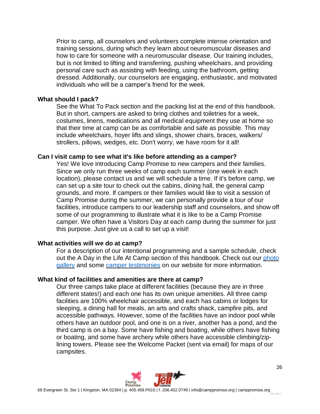Prior to camp, all counselors and volunteers complete intense orientation and training sessions, during which they learn about neuromuscular diseases and how to care for someone with a neuromuscular disease. Our training includes, but is not limited to lifting and transferring, pushing wheelchairs, and providing personal care such as assisting with feeding, using the bathroom, getting dressed. Additionally, our counselors are engaging, enthusiastic, and motivated individuals who will be a camper's friend for the week.

#### **What should I pack?**

See the What To Pack section and the packing list at the end of this handbook. But in short, campers are asked to bring clothes and toiletries for a week, costumes, linens, medications and all medical equipment they use at home so that their time at camp can be as comfortable and safe as possible. This may include wheelchairs, hoyer lifts and slings, shower chairs, braces, walkers/ strollers, pillows, wedges, etc. Don't worry, we have room for it all!

#### **Can I visit camp to see what it's like before attending as a camper?**

Yes! We love introducing Camp Promise to new campers and their families. Since we only run three weeks of camp each summer (one week in each location), please contact us and we will schedule a time. If it's before camp, we can set up a site tour to check out the cabins, dining hall, the general camp grounds, and more. If campers or their families would like to visit a session of Camp Promise during the summer, we can personally provide a tour of our facilities, introduce campers to our leadership staff and counselors, and show off some of our programming to illustrate what it is like to be a Camp Promise camper. We often have a Visitors Day at each camp during the summer for just this purpose. Just give us a call to set up a visit!

#### **What activities will we do at camp?**

For a description of our intentional programming and a sample schedule, check out the A Day in the Life At Camp section of this handbook. Check out our [photo](https://www.camppromise.org/gallery/) [gallery](https://www.camppromise.org/gallery/) and some camper [testimonies](https://www.camppromise.org/day-in-the-life-of-a-camper) on our website for more information.

#### **What kind of facilities and amenities are there at camp?**

Our three camps take place at different facilities (because they are in three different states!) and each one has its own unique amenities. All three camp facilities are 100% wheelchair accessible, and each has cabins or lodges for sleeping, a dining hall for meals, an arts and crafts shack, campfire pits, and accessible pathways. However, some of the facilities have an indoor pool while others have an outdoor pool, and one is on a river, another has a pond, and the third camp is on a bay. Some have fishing and boating, while others have fishing or boating, and some have archery while others have accessible climbing/ziplining towers. Please see the Welcome Packet (sent via email) for maps of our campsites.

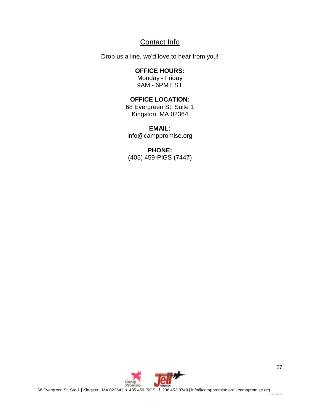# Contact Info

Drop us a line, we'd love to hear from you!

#### **OFFICE HOURS:**

Monday - Friday 9AM - 6PM EST

## **OFFICE LOCATION:**

68 Evergreen St, Suite 1 Kingston, MA 02364

## **EMAIL:**

info@camppromise.org

#### **PHONE:**

(405) 459-PIGS (7447)

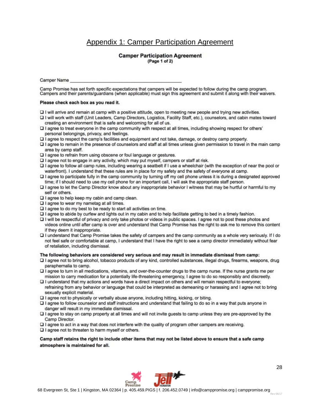# Appendix 1: Camper Participation Agreement

#### **Camper Participation Agreement** (Page 1 of 2)

**Camper Name** 

Camp Promise has set forth specific expectations that campers will be expected to follow during the camp program. Campers and their parents/guardians (when applicable) must sign this agreement and submit it along with their waivers.

#### Please check each box as you read it.

- O I will arrive and remain at camp with a positive attitude, open to meeting new people and trying new activities.
- I will work with staff (Unit Leaders, Camp Directors, Logistics, Facility Staff, etc.), counselors, and cabin mates toward creating an environment that is safe and welcoming for all of us.
- I agree to treat everyone in the camp community with respect at all times, including showing respect for others' personal belongings, privacy, and feelings.
- I agree to respect the camp's facilities and equipment and not take, damage, or destroy camp property.
- I agree to remain in the presence of counselors and staff at all times unless given permission to travel in the main camp area by camp staff.
- Q I agree to refrain from using obscene or foul language or gestures.
- I agree not to engage in any activity, which may put myself, campers or staff at risk.
- I agree to follow all camp rules, including wearing a seatbelt if I use a wheelchair (with the exception of near the pool or waterfront). I understand that these rules are in place for my safety and the safety of everyone at camp.
- I agree to participate fully in the camp community by turning off my cell phone unless it is during a designated approved time; if I should need to use my cell phone for an important call, I will ask the appropriate staff person.
- I agree to let the Camp Director know about any inappropriate behavior I witness that may be hurtful or harmful to my self or others.
- □ I agree to help keep my cabin and camp clean.
- $\Box$  I agree to wear my nametag at all times.
- $\square$  I agree to do my best to be ready to start all activities on time.
- DI agree to abide by curfew and lights out in my cabin and to help facilitate getting to bed in a timely fashion.
- I will be respectful of privacy and only take photos or videos in public spaces. I agree not to post these photos and videos online until after camp is over and understand that Camp Promise has the right to ask me to remove this content if they deem it inappropriate.
- I understand that Camp Promise takes the safety of campers and the camp community as a whole very seriously. If I do not feel safe or comfortable at camp, I understand that I have the right to see a camp director immediately without fear of retaliation, including dismissal.

#### The following behaviors are considered very serious and may result in immediate dismissal from camp:

- D I agree not to bring alcohol, tobacco products of any kind, controlled substances, illegal drugs, firearms, weapons, drug paraphernalia to camp.
- I agree to turn in all medications, vitamins, and over-the-counter drugs to the camp nurse. If the nurse grants me per mission to carry medication for a potentially life-threatening emergency, I agree to do so responsibly and discreetly.
- DI understand that my actions and words have a direct impact on others and will remain respectful to everyone; refraining from any behavior or language that could be interpreted as demeaning or harassing and I agree not to bring sexually explicit material.
- a I agree not to physically or verbally abuse anyone, including hitting, kicking, or biting.
- □ I agree to follow counselor and staff instructions and understand that failing to do so in a way that puts anyone in danger will result in my immediate dismissal.
- I agree to stay on camp property at all times and will not invite guests to camp unless they are pre-approved by the Camp Director.
- DI agree to act in a way that does not interfere with the quality of program other campers are receiving.
- $\square$  I agree not to threaten to harm myself or others.

Camp staff retains the right to include other items that may not be listed above to ensure that a safe camp atmosphere is maintained for all.